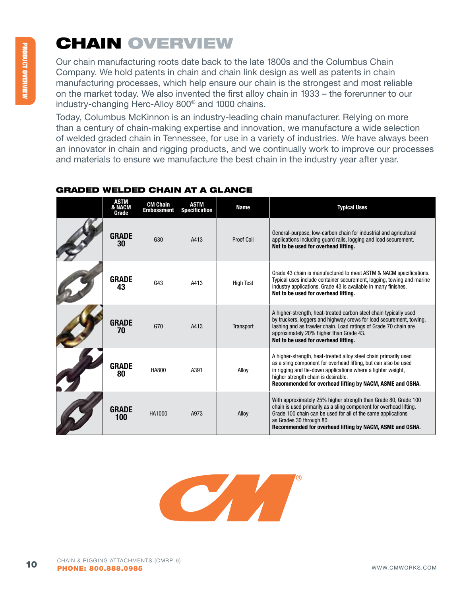# CHAIN ovERvIEw

Our chain manufacturing roots date back to the late 1800s and the Columbus Chain Company. We hold patents in chain and chain link design as well as patents in chain manufacturing processes, which help ensure our chain is the strongest and most reliable on the market today. We also invented the first alloy chain in 1933 – the forerunner to our industry-changing Herc-Alloy 800® and 1000 chains.

Today, Columbus McKinnon is an industry-leading chain manufacturer. Relying on more than a century of chain-making expertise and innovation, we manufacture a wide selection of welded graded chain in Tennessee, for use in a variety of industries. We have always been an innovator in chain and rigging products, and we continually work to improve our processes and materials to ensure we manufacture the best chain in the industry year after year.

| ASTM<br>& NACM<br>Grade | <b>CM Chain</b><br><b>Embossment</b> | <b>ASTM</b><br><b>Specification</b> | <b>Name</b>       | <b>Typical Uses</b>                                                                                                                                                                                                                                                                                    |
|-------------------------|--------------------------------------|-------------------------------------|-------------------|--------------------------------------------------------------------------------------------------------------------------------------------------------------------------------------------------------------------------------------------------------------------------------------------------------|
| <b>GRADE</b><br>30      | G30                                  | A413                                | <b>Proof Coil</b> | General-purpose, low-carbon chain for industrial and agricultural<br>applications including guard rails, logging and load securement.<br>Not to be used for overhead lifting.                                                                                                                          |
| <b>GRADE</b><br>43      | G43                                  | A413                                | <b>High Test</b>  | Grade 43 chain is manufactured to meet ASTM & NACM specifications.<br>Typical uses include container securement, logging, towing and marine<br>industry applications. Grade 43 is available in many finishes.<br>Not to be used for overhead lifting.                                                  |
| <b>GRADE</b><br>70      | G70                                  | A413                                | Transport         | A higher-strength, heat-treated carbon steel chain typically used<br>by truckers, loggers and highway crews for load securement, towing,<br>lashing and as trawler chain. Load ratings of Grade 70 chain are<br>approximately 20% higher than Grade 43.<br>Not to be used for overhead lifting.        |
| <b>GRADE</b><br>80      | HA800                                | A391                                | Alloy             | A higher-strength, heat-treated alloy steel chain primarily used<br>as a sling component for overhead lifting, but can also be used<br>in rigging and tie-down applications where a lighter weight,<br>higher strength chain is desirable.<br>Recommended for overhead lifting by NACM, ASME and OSHA. |
| <b>GRADE</b><br>100     | HA1000                               | A973                                | Alloy             | With approximately 25% higher strength than Grade 80, Grade 100<br>chain is used primarily as a sling component for overhead lifting.<br>Grade 100 chain can be used for all of the same applications<br>as Grades 30 through 80.<br>Recommended for overhead lifting by NACM, ASME and OSHA.          |

## GRAdEd wEldEd CHAIN AT A GlANCE